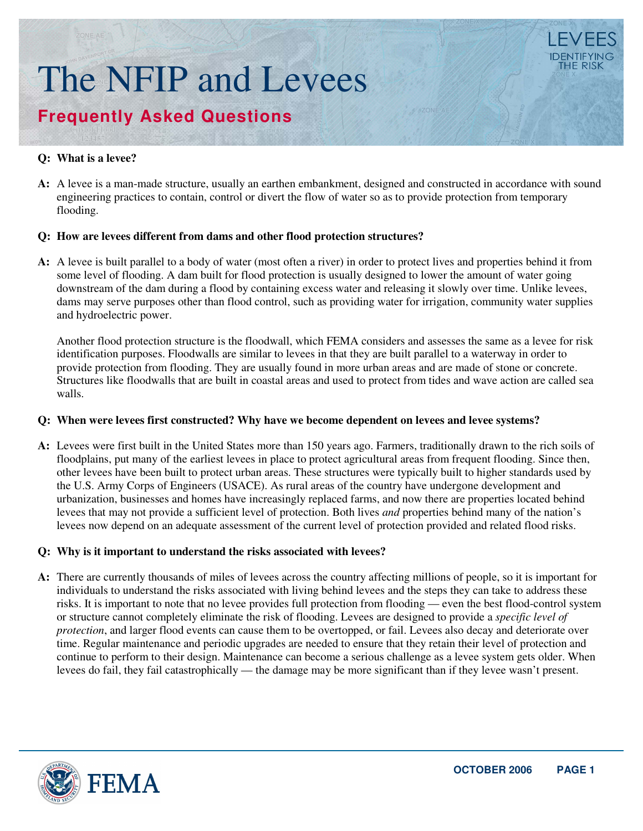# The NFIP and Levees **Frequently Asked Questions**

# **Q: What is a levee?**

A: A levee is a man-made structure, usually an earthen embankment, designed and constructed in accordance with sound engineering practices to contain, control or divert the flow of water so as to provide protection from temporary flooding.

# **Q: How are levees different from dams and other flood protection structures?**

A: A levee is built parallel to a body of water (most often a river) in order to protect lives and properties behind it from some level of flooding. A dam built for flood protection is usually designed to lower the amount of water going downstream of the dam during a flood by containing excess water and releasing it slowly over time. Unlike levees, dams may serve purposes other than flood control, such as providing water for irrigation, community water supplies and hydroelectric power.

Another flood protection structure is the floodwall, which FEMA considers and assesses the same as a levee for risk identification purposes. Floodwalls are similar to levees in that they are built parallel to a waterway in order to provide protection from flooding. They are usually found in more urban areas and are made of stone or concrete. Structures like floodwalls that are built in coastal areas and used to protect from tides and wave action are called sea walls.

#### **Q: When were levees first constructed? Why have we become dependent on levees and levee systems?**

A: Levees were first built in the United States more than 150 years ago. Farmers, traditionally drawn to the rich soils of floodplains, put many of the earliest levees in place to protect agricultural areas from frequent flooding. Since then, other levees have been built to protect urban areas. These structures were typically built to higher standards used by the U.S. Army Corps of Engineers (USACE). As rural areas of the country have undergone development and urbanization, businesses and homes have increasingly replaced farms, and now there are properties located behind levees that may not provide a sufficient level of protection. Both lives *and* properties behind many of the nation's levees now depend on an adequate assessment of the current level of protection provided and related flood risks.

# **Q: Why is it important to understand the risks associated with levees?**

A: There are currently thousands of miles of levees across the country affecting millions of people, so it is important for individuals to understand the risks associated with living behind levees and the steps they can take to address these risks. It is important to note that no levee provides full protection from flooding — even the best flood-control system or structure cannot completely eliminate the risk of flooding. Levees are designed to provide a *specific level of protection*, and larger flood events can cause them to be overtopped, or fail. Levees also decay and deteriorate over time. Regular maintenance and periodic upgrades are needed to ensure that they retain their level of protection and continue to perform to their design. Maintenance can become a serious challenge as a levee system gets older. When levees do fail, they fail catastrophically — the damage may be more significant than if they levee wasn't present.

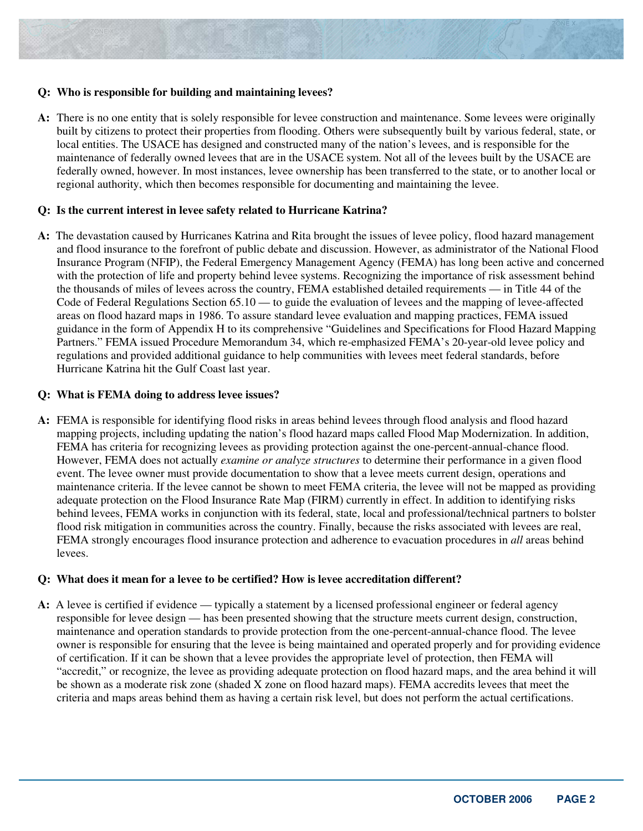#### **Q: Who is responsible for building and maintaining levees?**

A: There is no one entity that is solely responsible for levee construction and maintenance. Some levees were originally built by citizens to protect their properties from flooding. Others were subsequently built by various federal, state, or local entities. The USACE has designed and constructed many of the nation's levees, and is responsible for the maintenance of federally owned levees that are in the USACE system. Not all of the levees built by the USACE are federally owned, however. In most instances, levee ownership has been transferred to the state, or to another local or regional authority, which then becomes responsible for documenting and maintaining the levee.

#### **Q: Is the current interest in levee safety related to Hurricane Katrina?**

A: The devastation caused by Hurricanes Katrina and Rita brought the issues of levee policy, flood hazard management and flood insurance to the forefront of public debate and discussion. However, as administrator of the National Flood Insurance Program (NFIP), the Federal Emergency Management Agency (FEMA) has long been active and concerned with the protection of life and property behind levee systems. Recognizing the importance of risk assessment behind the thousands of miles of levees across the country, FEMA established detailed requirements — in Title 44 of the Code of Federal Regulations Section 65.10 — to guide the evaluation of levees and the mapping of levee-affected areas on flood hazard maps in 1986. To assure standard levee evaluation and mapping practices, FEMA issued guidance in the form of Appendix H to its comprehensive "Guidelines and Specifications for Flood Hazard Mapping Partners." FEMA issued Procedure Memorandum 34, which re-emphasized FEMA's 20-year-old levee policy and regulations and provided additional guidance to help communities with levees meet federal standards, before Hurricane Katrina hit the Gulf Coast last year.

### **Q: What is FEMA doing to address levee issues?**

A: FEMA is responsible for identifying flood risks in areas behind levees through flood analysis and flood hazard mapping projects, including updating the nation's flood hazard maps called Flood Map Modernization. In addition, FEMA has criteria for recognizing levees as providing protection against the one-percent-annual-chance flood. However, FEMA does not actually *examine or analyze structures* to determine their performance in a given flood event. The levee owner must provide documentation to show that a levee meets current design, operations and maintenance criteria. If the levee cannot be shown to meet FEMA criteria, the levee will not be mapped as providing adequate protection on the Flood Insurance Rate Map (FIRM) currently in effect. In addition to identifying risks behind levees, FEMA works in conjunction with its federal, state, local and professional/technical partners to bolster flood risk mitigation in communities across the country. Finally, because the risks associated with levees are real, FEMA strongly encourages flood insurance protection and adherence to evacuation procedures in *all* areas behind levees.

#### **Q: What does it mean for a levee to be certified? How is levee accreditation different?**

A: A levee is certified if evidence — typically a statement by a licensed professional engineer or federal agency responsible for levee design — has been presented showing that the structure meets current design, construction, maintenance and operation standards to provide protection from the one-percent-annual-chance flood. The levee owner is responsible for ensuring that the levee is being maintained and operated properly and for providing evidence of certification. If it can be shown that a levee provides the appropriate level of protection, then FEMA will "accredit," or recognize, the levee as providing adequate protection on flood hazard maps, and the area behind it will be shown as a moderate risk zone (shaded X zone on flood hazard maps). FEMA accredits levees that meet the criteria and maps areas behind them as having a certain risk level, but does not perform the actual certifications.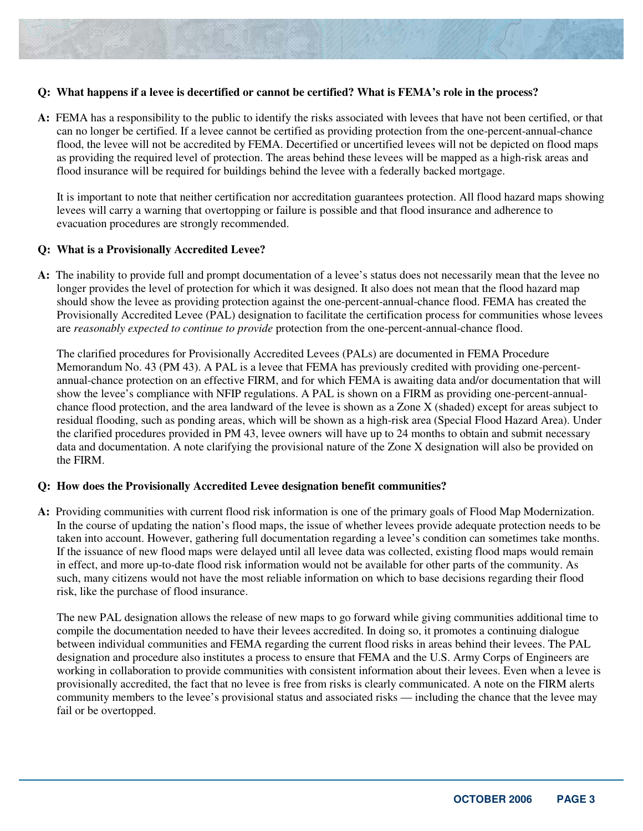#### **Q: What happens if a levee is decertified or cannot be certified? What is FEMA's role in the process?**

A: FEMA has a responsibility to the public to identify the risks associated with levees that have not been certified, or that can no longer be certified. If a levee cannot be certified as providing protection from the one-percent-annual-chance flood, the levee will not be accredited by FEMA. Decertified or uncertified levees will not be depicted on flood maps as providing the required level of protection. The areas behind these levees will be mapped as a high-risk areas and flood insurance will be required for buildings behind the levee with a federally backed mortgage.

It is important to note that neither certification nor accreditation guarantees protection. All flood hazard maps showing levees will carry a warning that overtopping or failure is possible and that flood insurance and adherence to evacuation procedures are strongly recommended.

#### **Q: What is a Provisionally Accredited Levee?**

A: The inability to provide full and prompt documentation of a levee's status does not necessarily mean that the levee no longer provides the level of protection for which it was designed. It also does not mean that the flood hazard map should show the levee as providing protection against the one-percent-annual-chance flood. FEMA has created the Provisionally Accredited Levee (PAL) designation to facilitate the certification process for communities whose levees are *reasonably expected to continue to provide* protection from the one-percent-annual-chance flood.

The clarified procedures for Provisionally Accredited Levees (PALs) are documented in FEMA Procedure Memorandum No. 43 (PM 43). A PAL is a levee that FEMA has previously credited with providing one-percentannual-chance protection on an effective FIRM, and for which FEMA is awaiting data and/or documentation that will show the levee's compliance with NFIP regulations. A PAL is shown on a FIRM as providing one-percent-annualchance flood protection, and the area landward of the levee is shown as a Zone X (shaded) except for areas subject to residual flooding, such as ponding areas, which will be shown as a high-risk area (Special Flood Hazard Area). Under the clarified procedures provided in PM 43, levee owners will have up to 24 months to obtain and submit necessary data and documentation. A note clarifying the provisional nature of the Zone X designation will also be provided on the FIRM.

#### **Q: How does the Provisionally Accredited Levee designation benefit communities?**

A: Providing communities with current flood risk information is one of the primary goals of Flood Map Modernization. In the course of updating the nation's flood maps, the issue of whether levees provide adequate protection needs to be taken into account. However, gathering full documentation regarding a levee's condition can sometimes take months. If the issuance of new flood maps were delayed until all levee data was collected, existing flood maps would remain in effect, and more up-to-date flood risk information would not be available for other parts of the community. As such, many citizens would not have the most reliable information on which to base decisions regarding their flood risk, like the purchase of flood insurance.

The new PAL designation allows the release of new maps to go forward while giving communities additional time to compile the documentation needed to have their levees accredited. In doing so, it promotes a continuing dialogue between individual communities and FEMA regarding the current flood risks in areas behind their levees. The PAL designation and procedure also institutes a process to ensure that FEMA and the U.S. Army Corps of Engineers are working in collaboration to provide communities with consistent information about their levees. Even when a levee is provisionally accredited, the fact that no levee is free from risks is clearly communicated. A note on the FIRM alerts community members to the levee's provisional status and associated risks — including the chance that the levee may fail or be overtopped.